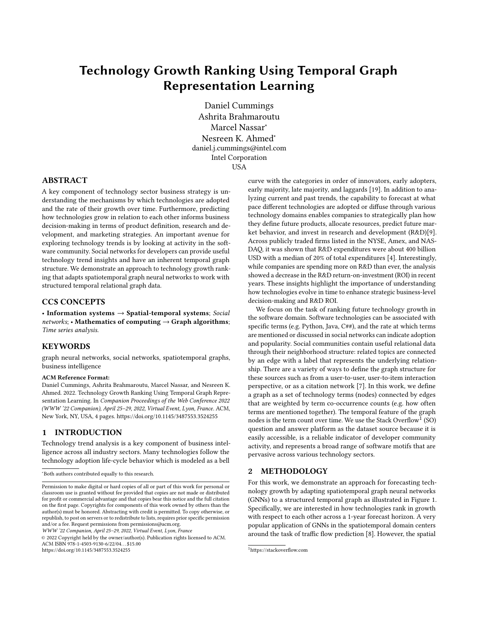# Technology Growth Ranking Using Temporal Graph Representation Learning

Daniel Cummings Ashrita Brahmaroutu Marcel Nassar<sup>∗</sup> Nesreen K. Ahmed<sup>∗</sup> daniel.j.cummings@intel.com Intel Corporation USA

# ABSTRACT

A key component of technology sector business strategy is understanding the mechanisms by which technologies are adopted and the rate of their growth over time. Furthermore, predicting how technologies grow in relation to each other informs business decision-making in terms of product definition, research and development, and marketing strategies. An important avenue for exploring technology trends is by looking at activity in the software community. Social networks for developers can provide useful technology trend insights and have an inherent temporal graph structure. We demonstrate an approach to technology growth ranking that adapts spatiotemporal graph neural networks to work with structured temporal relational graph data.

## CCS CONCEPTS

• Information systems  $\rightarrow$  Spatial-temporal systems; Social networks; • Mathematics of computing  $\rightarrow$  Graph algorithms; Time series analysis.

# **KEYWORDS**

graph neural networks, social networks, spatiotemporal graphs, business intelligence

#### ACM Reference Format:

Daniel Cummings, Ashrita Brahmaroutu, Marcel Nassar, and Nesreen K. Ahmed. 2022. Technology Growth Ranking Using Temporal Graph Representation Learning. In Companion Proceedings of the Web Conference 2022 (WWW '22 Companion), April 25–29, 2022, Virtual Event, Lyon, France. ACM, New York, NY, USA, [4](#page-3-0) pages.<https://doi.org/10.1145/3487553.3524255>

### 1 INTRODUCTION

Technology trend analysis is a key component of business intelligence across all industry sectors. Many technologies follow the technology adoption life-cycle behavior which is modeled as a bell

WWW '22 Companion, April 25–29, 2022, Virtual Event, Lyon, France

© 2022 Copyright held by the owner/author(s). Publication rights licensed to ACM. ACM ISBN 978-1-4503-9130-6/22/04. . . \$15.00 <https://doi.org/10.1145/3487553.3524255>

curve with the categories in order of innovators, early adopters, early majority, late majority, and laggards [\[19\]](#page-3-1). In addition to analyzing current and past trends, the capability to forecast at what pace different technologies are adopted or diffuse through various technology domains enables companies to strategically plan how they define future products, allocate resources, predict future market behavior, and invest in research and development (R&D)[\[9\]](#page-3-2). Across publicly traded firms listed in the NYSE, Amex, and NAS-DAQ, it was shown that R&D expenditures were about 400 billion USD with a median of 20% of total expenditures [\[4\]](#page-3-3). Interestingly, while companies are spending more on R&D than ever, the analysis showed a decrease in the R&D return-on-investment (ROI) in recent years. These insights highlight the importance of understanding how technologies evolve in time to enhance strategic business-level decision-making and R&D ROI.

We focus on the task of ranking future technology growth in the software domain. Software technologies can be associated with specific terms (e.g. Python, Java, C##), and the rate at which terms are mentioned or discussed in social networks can indicate adoption and popularity. Social communities contain useful relational data through their neighborhood structure: related topics are connected by an edge with a label that represents the underlying relationship. There are a variety of ways to define the graph structure for these sources such as from a user-to-user, user-to-item interaction perspective, or as a citation network [\[7\]](#page-3-4). In this work, we define a graph as a set of technology terms (nodes) connected by edges that are weighted by term co-occurrence counts (e.g. how often terms are mentioned together). The temporal feature of the graph nodes is the term count over time. We use the Stack Overflow $^1$  $^1$  (SO) question and answer platform as the dataset source because it is easily accessible, is a reliable indicator of developer community activity, and represents a broad range of software motifs that are pervasive across various technology sectors.

# 2 METHODOLOGY

For this work, we demonstrate an approach for forecasting technology growth by adapting spatiotemporal graph neural networks (GNNs) to a structured temporal graph as illustrated in Figure [1.](#page-1-0) Specifically, we are interested in how technologies rank in growth with respect to each other across a 1-year forecast horizon. A very popular application of GNNs in the spatiotemporal domain centers around the task of traffic flow prediction [\[8\]](#page-3-5). However, the spatial

<sup>∗</sup>Both authors contributed equally to this research.

Permission to make digital or hard copies of all or part of this work for personal or classroom use is granted without fee provided that copies are not made or distributed for profit or commercial advantage and that copies bear this notice and the full citation on the first page. Copyrights for components of this work owned by others than the author(s) must be honored. Abstracting with credit is permitted. To copy otherwise, or republish, to post on servers or to redistribute to lists, requires prior specific permission and/or a fee. Request permissions from permissions@acm.org.

<span id="page-0-0"></span><sup>1</sup>https://stackoverflow.com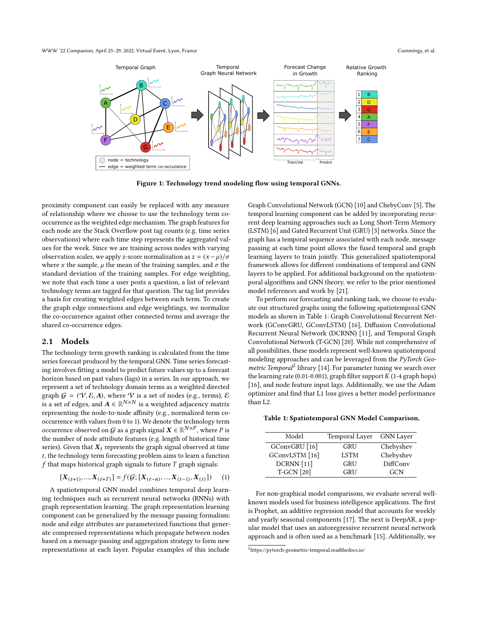<span id="page-1-0"></span>

Figure 1: Technology trend modeling flow using temporal GNNs.

proximity component can easily be replaced with any measure of relationship where we choose to use the technology term cooccurrence as the weighted edge mechanism. The graph features for each node are the Stack Overflow post tag counts (e.g. time series observations) where each time step represents the aggregated values for the week. Since we are training across nodes with varying observation scales, we apply z-score normalization as  $z = (x - \mu)/\sigma$ where x the sample,  $\mu$  the mean of the training samples, and  $\sigma$  the standard deviation of the training samples. For edge weighting, we note that each time a user posts a question, a list of relevant technology terms are tagged for that question. The tag list provides a basis for creating weighted edges between each term. To create the graph edge connections and edge weightings, we normalize the co-occurrence against other connected terms and average the shared co-occurrence edges.

#### 2.1 Models

The technology term growth ranking is calculated from the time series forecast produced by the temporal GNN. Time series forecasting involves fitting a model to predict future values up to a forecast horizon based on past values (lags) in a series. In our approach, we represent a set of technology domain terms as a weighted directed graph  $G = (\mathcal{V}, \mathcal{E}, A)$ , where V is a set of nodes (e.g., terms),  $\mathcal E$ is a set of edges, and  $A \in \mathbb{R}^{N \times N}$  is a weighted adjacency matrix representing the node-to-node affinity (e.g., normalized term cooccurrence with values from 0 to 1). We denote the technology term occurrence observed on  $G$  as a graph signal  $\boldsymbol{X} \in \mathbb{R}^{N \times P}$ , where  $P$  is the number of node attribute features (e.g. length of historical time series). Given that  $X_t$  represents the graph signal observed at time , the technology term forecasting problem aims to learn a function  $f$  that maps historical graph signals to future  $T$  graph signals:

$$
[\boldsymbol{X}_{(t+1)},...,\boldsymbol{X}_{(t+T)}] = f(\mathcal{G};[\boldsymbol{X}_{(t-n)},...,\boldsymbol{X}_{(t-1)},\boldsymbol{X}_{(t)}]) \qquad (1)
$$

A spatiotemporal GNN model combines temporal deep learning techniques such as recurrent neural networks (RNNs) with graph representation learning. The graph representation learning component can be generalized by the message passing formalism: node and edge attributes are parameterized functions that generate compressed representations which propagate between nodes based on a message-passing and aggregation strategy to form new representations at each layer. Popular examples of this include

Graph Convolutional Network (GCN) [\[10\]](#page-3-6) and ChebyConv [\[5\]](#page-3-7). The temporal learning component can be added by incorporating recurrent deep learning approaches such as Long Short-Term Memory (LSTM) [\[6\]](#page-3-8) and Gated Recurrent Unit (GRU) [\[3\]](#page-3-9) networks. Since the graph has a temporal sequence associated with each node, message passing at each time point allows the fused temporal and graph learning layers to train jointly. This generalized spatiotemporal framework allows for different combinations of temporal and GNN layers to be applied. For additional background on the spatiotemporal algorithms and GNN theory, we refer to the prior mentioned model references and work by [\[21\]](#page-3-10).

To perform our forecasting and ranking task, we choose to evaluate our structured graphs using the following spatiotemporal GNN models as shown in Table [1:](#page-1-1) Graph Convolutional Recurrent Network (GConvGRU, GConvLSTM) [\[16\]](#page-3-11), Diffusion Convolutional Recurrent Neural Network (DCRNN) [\[11\]](#page-3-12), and Temporal Graph Convolutional Network (T-GCN) [\[20\]](#page-3-13). While not comprehensive of all possibilities, these models represent well-known spatiotemporal modeling approaches and can be leveraged from the PyTorch Geo-metric Temporal<sup>[2](#page-1-2)</sup> library [\[14\]](#page-3-14). For parameter tuning we search over the learning rate (0.01-0.001), graph filter support  $K$  (1-4 graph hops) [\[16\]](#page-3-11), and node feature input lags. Additionally, we use the Adam optimizer and find that L1 loss gives a better model performance than L2.

<span id="page-1-1"></span>Table 1: Spatiotemporal GNN Model Comparison.

| Model             | Temporal Layer | <b>GNN</b> Layer |
|-------------------|----------------|------------------|
| GConvGRU [16]     | GRU            | Chebyshev        |
| GConvLSTM [16]    | <b>LSTM</b>    | Chebyshev        |
| DCRNN [11]        | <b>GRU</b>     | DiffConv         |
| <b>T-GCN</b> [20] | GRU            | GCN              |

For non-graphical model comparisons, we evaluate several wellknown models used for business intelligence applications. The first is Prophet, an additive regression model that accounts for weekly and yearly seasonal components [\[17\]](#page-3-15). The next is DeepAR, a popular model that uses an autoregressive recurrent neural network approach and is often used as a benchmark [\[15\]](#page-3-16). Additionally, we

<span id="page-1-2"></span> $2$ https://pytorch-geometric-temporal.readthedocs.io/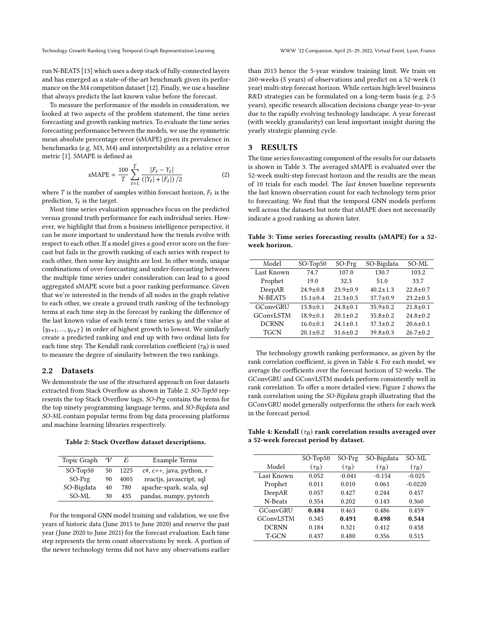run N-BEATS [\[13\]](#page-3-17) which uses a deep stack of fully-connected layers and has emerged as a state-of-the-art benchmark given its performance on the M4 competition dataset [\[12\]](#page-3-18). Finally, we use a baseline that always predicts the last known value before the forecast.

To measure the performance of the models in consideration, we looked at two aspects of the problem statement, the time series forecasting and growth ranking metrics. To evaluate the time series forecasting performance between the models, we use the symmetric mean absolute percentage error (sMAPE) given its prevalence in benchmarks (e.g. M3, M4) and interpretability as a relative error metric [\[1\]](#page-3-19). SMAPE is defined as

$$
sMAPE = \frac{100}{T} \sum_{t=1}^{T} \frac{|F_t - Y_t|}{(|Y_t| + |F_t|) / 2}
$$
 (2)

where  $T$  is the number of samples within forecast horizon,  $F_t$  is the prediction,  $Y_t$  is the target.

Most time series evaluation approaches focus on the predicted versus ground truth performance for each individual series. However, we highlight that from a business intelligence perspective, it can be more important to understand how the trends evolve with respect to each other. If a model gives a good error score on the forecast but fails in the growth ranking of each series with respect to each other, then some key insights are lost. In other words, unique combinations of over-forecasting and under-forecasting between the multiple time series under consideration can lead to a good aggregated sMAPE score but a poor ranking performance. Given that we're interested in the trends of all nodes in the graph relative to each other, we create a ground truth ranking of the technology terms at each time step in the forecast by ranking the difference of the last known value of each term's time series  $y_t$  and the value at  $\{y_{t+1}, ..., y_{t+T}\}\$ in order of highest growth to lowest. We similarly create a predicted ranking and end up with two ordinal lists for each time step. The Kendall rank correlation coefficient ( $\tau_B$ ) is used to measure the degree of similarity between the two rankings.

#### 2.2 Datasets

We demonstrate the use of the structured approach on four datasets extracted from Stack Overflow as shown in Table [2.](#page-2-0) SO-Top50 represents the top Stack Overflow tags, SO-Prg contains the terms for the top ninety programming language terms, and SO-Bigdata and SO-ML contain popular terms from big data processing platforms and machine learning libraries respectively.

<span id="page-2-0"></span>Table 2: Stack Overflow dataset descriptions.

| Topic Graph    | $\mathcal V$ | ε    | <b>Example Terms</b>       |
|----------------|--------------|------|----------------------------|
| $SO$ -Top $50$ | 50           | 1225 | $c*, c++,$ java, python, r |
| $SO-Prg$       | 90           | 4005 | reactjs, javascript, sql   |
| SO-Bigdata     | 40           | 780  | apache-spark, scala, sql   |
| SO-ML          | 30           | 435  | pandas, numpy, pytorch     |

For the temporal GNN model training and validation, we use five years of historic data (June 2015 to June 2020) and reserve the past year (June 2020 to June 2021) for the forecast evaluation. Each time step represents the term count observations by week. A portion of the newer technology terms did not have any observations earlier

than 2015 hence the 5-year window training limit. We train on 260-weeks (5 years) of observations and predict on a 52-week (1 year) multi-step forecast horizon. While certain high-level business R&D strategies can be formulated on a long-term basis (e.g. 2-5 years), specific research allocation decisions change year-to-year due to the rapidly evolving technology landscape. A year forecast (with weekly granularity) can lend important insight during the yearly strategic planning cycle.

## 3 RESULTS

The time series forecasting component of the results for our datasets is shown in Table [3.](#page-2-1) The averaged sMAPE is evaluated over the 52-week multi-step forecast horizon and the results are the mean of 10 trials for each model. The last known baseline represents the last known observation count for each technology term prior to forecasting. We find that the temporal GNN models perform well across the datasets but note that sMAPE does not necessarily indicate a good ranking as shown later.

<span id="page-2-1"></span>Table 3: Time series forecasting results (sMAPE) for a 52 week horizon.

| Model        | $SO$ -Top $50$ | $SO-Prg$       | SO-Bigdata     | SO-ML          |
|--------------|----------------|----------------|----------------|----------------|
| Last Known   | 74.7           | 107.0          | 130.7          | 103.2          |
| Prophet      | 19.0           | 32.3           | 51.0           | 33.7           |
| DeepAR       | $24.9 \pm 0.8$ | $23.9 \pm 0.9$ | $40.2 \pm 1.3$ | $22.8 \pm 0.7$ |
| N-BEATS      | $15.1 \pm 0.4$ | $21.3 \pm 0.5$ | $37.7 \pm 0.9$ | $23.2 \pm 0.5$ |
| GConvGRU     | $13.8 \pm 0.1$ | $24.8 \pm 0.1$ | $35.9 \pm 0.2$ | $21.8 \pm 0.1$ |
| GConvLSTM    | $18.9 \pm 0.1$ | $20.1 \pm 0.2$ | $35.8 \pm 0.2$ | $24.8 \pm 0.2$ |
| <b>DCRNN</b> | $16.0 \pm 0.1$ | $24.1 \pm 0.1$ | $37.3 \pm 0.2$ | $20.6 \pm 0.1$ |
| TGCN         | $20.1 \pm 0.2$ | $31.6 \pm 0.2$ | $39.8 \pm 0.3$ | $26.7 \pm 0.2$ |

The technology growth ranking performance, as given by the rank correlation coefficient, is given in Table [4.](#page-2-2) For each model, we average the coefficients over the forecast horizon of 52-weeks. The GConvGRU and GConvLSTM models perform consistently well in rank correlation. To offer a more detailed view, Figure [2](#page-3-20) shows the rank correlation using the SO-Bigdata graph illustrating that the GConvGRU model generally outperforms the others for each week in the forecast period.

<span id="page-2-2"></span>Table 4: Kendall  $(\tau_B)$  rank correlation results averaged over a 52-week forecast period by dataset.

|  |              | $SO$ -Top $50$ | $SO-Prg$   | SO-Bigdata | SO-ML      |
|--|--------------|----------------|------------|------------|------------|
|  | Model        | $(\tau_R)$     | $(\tau_B)$ | $(\tau_R)$ | $(\tau_B)$ |
|  | Last Known   | 0.052          | $-0.041$   | $-0.154$   | $-0.025$   |
|  | Prophet      | 0.011          | 0.010      | 0.061      | $-0.0220$  |
|  | DeepAR       | 0.057          | 0.427      | 0.244      | 0.457      |
|  | N-Beats      | 0.354          | 0.202      | 0.143      | 0.360      |
|  | GConvGRU     | 0.484          | 0.463      | 0.486      | 0.459      |
|  | GConvLSTM    | 0.345          | 0.491      | 0.498      | 0.544      |
|  | <b>DCRNN</b> | 0.184          | 0.321      | 0.412      | 0.458      |
|  | T-GCN        | 0.437          | 0.480      | 0.356      | 0.515      |
|  |              |                |            |            |            |